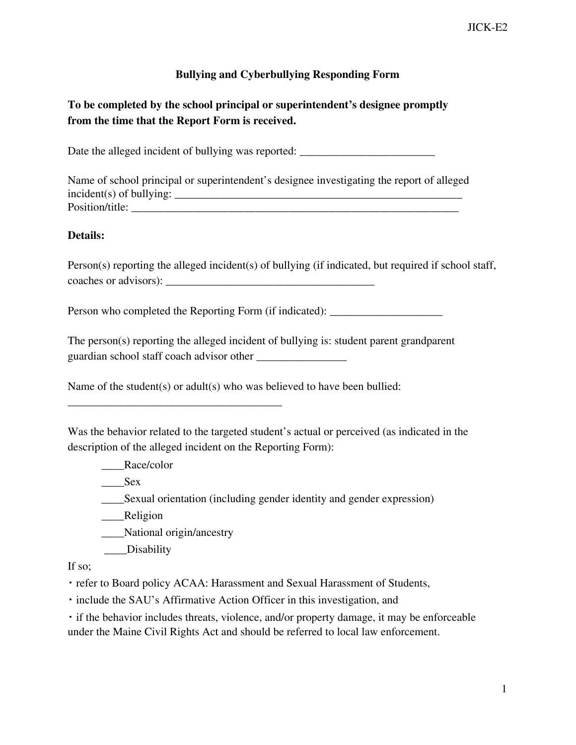## **Bullying and Cyberbullying Responding Form**

# **To be completed by the school principal or superintendent's designee promptly from the time that the Report Form is received.**

Date the alleged incident of bullying was reported: \_\_\_\_\_\_\_\_\_\_\_\_\_\_\_\_\_\_\_\_\_\_\_\_

Name of school principal or superintendent's designee investigating the report of alleged incident(s) of bullying: \_\_\_\_\_\_\_\_\_\_\_\_\_\_\_\_\_\_\_\_\_\_\_\_\_\_\_\_\_\_\_\_\_\_\_\_\_\_\_\_\_\_\_\_\_\_\_\_\_\_\_ Position/title:

#### **Details:**

Person(s) reporting the alleged incident(s) of bullying (if indicated, but required if school staff, coaches or advisors): \_\_\_\_\_\_\_\_\_\_\_\_\_\_\_\_\_\_\_\_\_\_\_\_\_\_\_\_\_\_\_\_\_\_\_\_\_

Person who completed the Reporting Form (if indicated):

The person(s) reporting the alleged incident of bullying is: student parent grandparent guardian school staff coach advisor other \_\_\_\_\_\_\_\_\_\_\_\_\_\_\_\_

Name of the student(s) or adult(s) who was believed to have been bullied:

Was the behavior related to the targeted student's actual or perceived (as indicated in the description of the alleged incident on the Reporting Form):

\_\_\_\_Race/color

 $\_\_\_\$ Sex

\_\_\_\_Sexual orientation (including gender identity and gender expression)

\_\_\_\_Religion

\_\_\_\_National origin/ancestry

\_\_\_\_\_\_\_\_\_\_\_\_\_\_\_\_\_\_\_\_\_\_\_\_\_\_\_\_\_\_\_\_\_\_\_\_\_\_

\_\_\_\_Disability

If so;

▪ refer to Board policy ACAA: Harassment and Sexual Harassment of Students,

▪ include the SAU's Affirmative Action Officer in this investigation, and

▪ if the behavior includes threats, violence, and/or property damage, it may be enforceable under the Maine Civil Rights Act and should be referred to local law enforcement.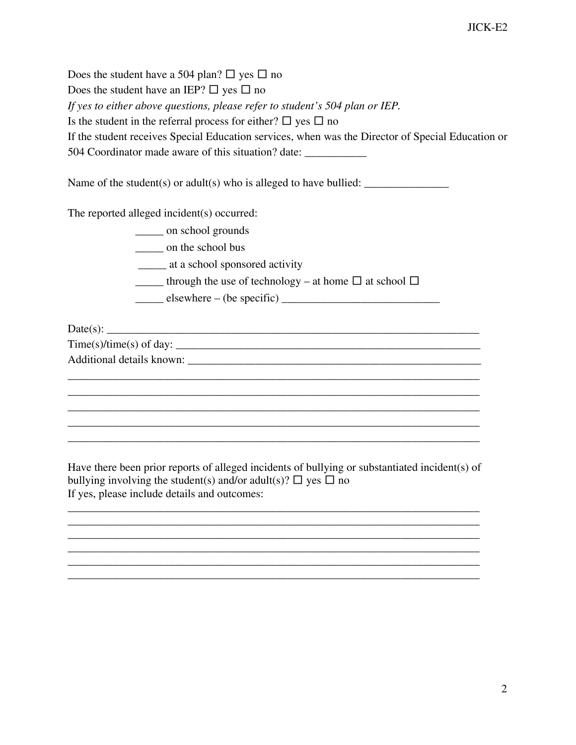Does the student have a 504 plan?  $\Box$  yes  $\Box$  no Does the student have an IEP?  $\Box$  yes  $\Box$  no *If yes to either above questions, please refer to student's 504 plan or IEP.* Is the student in the referral process for either?  $\Box$  yes  $\Box$  no If the student receives Special Education services, when was the Director of Special Education or 504 Coordinator made aware of this situation? date: \_\_\_\_\_\_\_\_\_\_\_

Name of the student(s) or adult(s) who is alleged to have bullied:  $\frac{1}{\sqrt{1-\frac{1}{\sqrt{1-\frac{1}{\sqrt{1-\frac{1}{\sqrt{1-\frac{1}{\sqrt{1-\frac{1}{\sqrt{1-\frac{1}{\sqrt{1-\frac{1}{\sqrt{1-\frac{1}{\sqrt{1-\frac{1}{\sqrt{1-\frac{1}{\sqrt{1-\frac{1}{\sqrt{1-\frac{1}{\sqrt{1-\frac{1}{\sqrt{1-\frac{1}{\sqrt{1-\frac{1}{\sqrt{1-\frac{1}{\sqrt{1$ 

The reported alleged incident(s) occurred:

\_\_\_\_\_ on school grounds

\_\_\_\_\_ on the school bus

\_\_\_\_\_ at a school sponsored activity

through the use of technology – at home  $\Box$  at school  $\Box$ 

 $\frac{\text{elsewhere} - (\text{be specific})}{\text{elsewhere} - (\text{be specific})}$ 

 $Date(s):$ 

Time(s)/time(s) of day: \_\_\_\_\_\_\_\_\_\_\_\_\_\_\_\_\_\_\_\_\_\_\_\_\_\_\_\_\_\_\_\_\_\_\_\_\_\_\_\_\_\_\_\_\_\_\_\_\_\_\_\_\_\_

Additional details known: \_\_\_\_\_\_\_\_\_\_\_\_\_\_\_\_\_\_\_\_\_\_\_\_\_\_\_\_\_\_\_\_\_\_\_\_\_\_\_\_\_\_\_\_\_\_\_\_\_\_\_\_

Have there been prior reports of alleged incidents of bullying or substantiated incident(s) of bullying involving the student(s) and/or adult(s)?  $\Box$  yes  $\Box$  no If yes, please include details and outcomes:

 $\overline{\phantom{a}}$  , and the contribution of the contribution of the contribution of the contribution of the contribution of the contribution of the contribution of the contribution of the contribution of the contribution of the  $\overline{\phantom{a}}$  , and the contribution of the contribution of the contribution of the contribution of the contribution of the contribution of the contribution of the contribution of the contribution of the contribution of the  $\overline{\phantom{a}}$  , and the contribution of the contribution of the contribution of the contribution of the contribution of the contribution of the contribution of the contribution of the contribution of the contribution of the  $\overline{\phantom{a}}$  , and the contribution of the contribution of the contribution of the contribution of the contribution of the contribution of the contribution of the contribution of the contribution of the contribution of the  $\overline{\phantom{a}}$  , and the contribution of the contribution of the contribution of the contribution of the contribution of the contribution of the contribution of the contribution of the contribution of the contribution of the  $\overline{\phantom{a}}$  , and the contribution of the contribution of the contribution of the contribution of the contribution of the contribution of the contribution of the contribution of the contribution of the contribution of the

 $\overline{\phantom{a}}$  , and the contribution of the contribution of the contribution of the contribution of the contribution of the contribution of the contribution of the contribution of the contribution of the contribution of the  $\overline{\phantom{a}}$  , and the contribution of the contribution of the contribution of the contribution of the contribution of the contribution of the contribution of the contribution of the contribution of the contribution of the  $\overline{\phantom{a}}$  , and the contribution of the contribution of the contribution of the contribution of the contribution of the contribution of the contribution of the contribution of the contribution of the contribution of the  $\overline{\phantom{a}}$  , and the contribution of the contribution of the contribution of the contribution of the contribution of the contribution of the contribution of the contribution of the contribution of the contribution of the  $\overline{\phantom{a}}$  , and the contribution of the contribution of the contribution of the contribution of the contribution of the contribution of the contribution of the contribution of the contribution of the contribution of the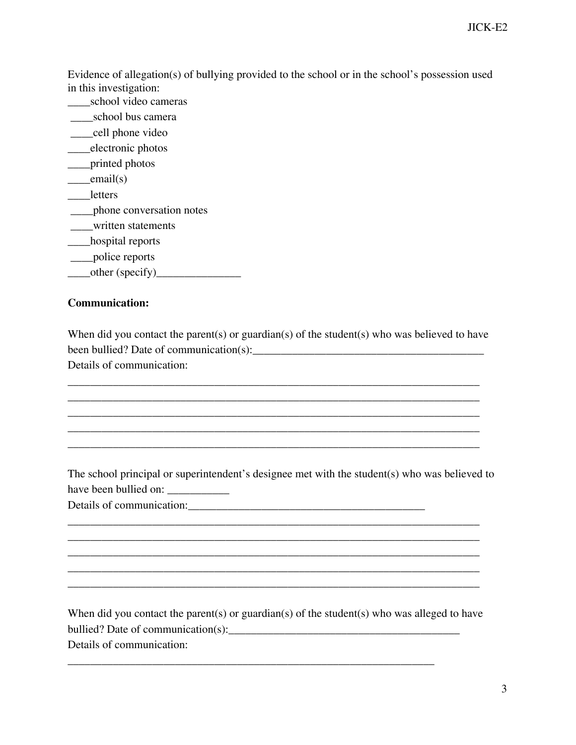JICK-E2

Evidence of allegation(s) of bullying provided to the school or in the school's possession used in this investigation:

- \_\_\_\_school video cameras
- \_\_\_\_school bus camera
- \_\_\_\_cell phone video
- \_\_\_\_electronic photos
- \_\_\_\_printed photos
- $\_email(s)$
- \_\_\_\_letters
- \_\_\_\_phone conversation notes
- \_\_\_\_written statements
- \_\_\_\_hospital reports
- \_\_\_\_police reports
- $\qquad \qquad \text{other (specificity)}$

### **Communication:**

When did you contact the parent(s) or guardian(s) of the student(s) who was believed to have been bullied? Date of communication(s):\_\_\_\_\_\_\_\_\_\_\_\_\_\_\_\_\_\_\_\_\_\_\_\_\_\_\_\_\_\_\_\_\_\_\_\_\_\_\_\_\_ Details of communication:

 $\overline{\phantom{a}}$  , and the contribution of the contribution of the contribution of the contribution of the contribution of the contribution of the contribution of the contribution of the contribution of the contribution of the  $\overline{\phantom{a}}$  , and the contribution of the contribution of the contribution of the contribution of the contribution of the contribution of the contribution of the contribution of the contribution of the contribution of the  $\overline{\phantom{a}}$  , and the contribution of the contribution of the contribution of the contribution of the contribution of the contribution of the contribution of the contribution of the contribution of the contribution of the  $\overline{\phantom{a}}$  , and the contribution of the contribution of the contribution of the contribution of the contribution of the contribution of the contribution of the contribution of the contribution of the contribution of the  $\overline{\phantom{a}}$  , and the contribution of the contribution of the contribution of the contribution of the contribution of the contribution of the contribution of the contribution of the contribution of the contribution of the

The school principal or superintendent's designee met with the student(s) who was believed to have been bullied on: \_\_\_\_\_\_\_\_\_\_\_

 $\overline{\phantom{a}}$  , and the contribution of the contribution of the contribution of the contribution of the contribution of the contribution of the contribution of the contribution of the contribution of the contribution of the  $\overline{\phantom{a}}$  , and the contribution of the contribution of the contribution of the contribution of the contribution of the contribution of the contribution of the contribution of the contribution of the contribution of the  $\overline{\phantom{a}}$  , and the contribution of the contribution of the contribution of the contribution of the contribution of the contribution of the contribution of the contribution of the contribution of the contribution of the  $\overline{\phantom{a}}$  , and the contribution of the contribution of the contribution of the contribution of the contribution of the contribution of the contribution of the contribution of the contribution of the contribution of the  $\overline{\phantom{a}}$  , and the contribution of the contribution of the contribution of the contribution of the contribution of the contribution of the contribution of the contribution of the contribution of the contribution of the

Details of communication:\_\_\_\_\_\_\_\_\_\_\_\_\_\_\_\_\_\_\_\_\_\_\_\_\_\_\_\_\_\_\_\_\_\_\_\_\_\_\_\_\_\_

When did you contact the parent(s) or guardian(s) of the student(s) who was alleged to have bullied? Date of communication(s):\_\_\_\_\_\_\_\_\_\_\_\_\_\_\_\_\_\_\_\_\_\_\_\_\_\_\_\_\_\_\_\_\_\_\_\_\_\_\_\_\_

 $\overline{\phantom{a}}$  , and the contract of the contract of the contract of the contract of the contract of the contract of the contract of the contract of the contract of the contract of the contract of the contract of the contrac

Details of communication: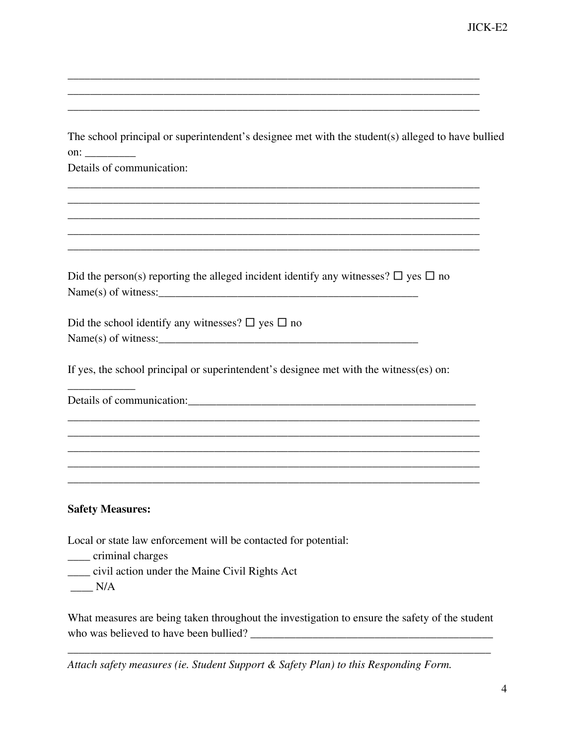| The school principal or superintendent's designee met with the student(s) alleged to have bullied |
|---------------------------------------------------------------------------------------------------|
| $\text{on:}\_$                                                                                    |
| Details of communication:                                                                         |
|                                                                                                   |
|                                                                                                   |
|                                                                                                   |
|                                                                                                   |
|                                                                                                   |
| Did the person(s) reporting the alleged incident identify any witnesses? $\Box$ yes $\Box$ no     |
| $Name(s)$ of witness:                                                                             |
|                                                                                                   |
| Did the school identify any witnesses? $\square$ yes $\square$ no                                 |
|                                                                                                   |
|                                                                                                   |
| If yes, the school principal or superintendent's designee met with the witness(es) on:            |
|                                                                                                   |
|                                                                                                   |
|                                                                                                   |
|                                                                                                   |
|                                                                                                   |
|                                                                                                   |
|                                                                                                   |
| <b>Safety Measures:</b>                                                                           |
|                                                                                                   |
| Local or state law enforcement will be contacted for potential:                                   |
| ______ criminal charges                                                                           |
| civil action under the Maine Civil Rights Act                                                     |

 $\overline{\phantom{a}}$  , and the contribution of the contribution of the contribution of the contribution of the contribution of the contribution of the contribution of the contribution of the contribution of the contribution of the  $\overline{\phantom{a}}$  , and the contribution of the contribution of the contribution of the contribution of the contribution of the contribution of the contribution of the contribution of the contribution of the contribution of the  $\overline{\phantom{a}}$  , and the contribution of the contribution of the contribution of the contribution of the contribution of the contribution of the contribution of the contribution of the contribution of the contribution of the

 $\_\_$  N/A

What measures are being taken throughout the investigation to ensure the safety of the student who was believed to have been bullied? \_\_\_\_\_\_\_\_\_\_\_\_\_\_\_\_\_\_\_\_\_\_\_\_\_\_\_\_\_\_\_\_\_\_\_\_\_\_\_\_\_\_\_

\_\_\_\_\_\_\_\_\_\_\_\_\_\_\_\_\_\_\_\_\_\_\_\_\_\_\_\_\_\_\_\_\_\_\_\_\_\_\_\_\_\_\_\_\_\_\_\_\_\_\_\_\_\_\_\_\_\_\_\_\_\_\_\_\_\_\_\_\_\_\_\_\_\_\_

*Attach safety measures (ie. Student Support & Safety Plan) to this Responding Form.*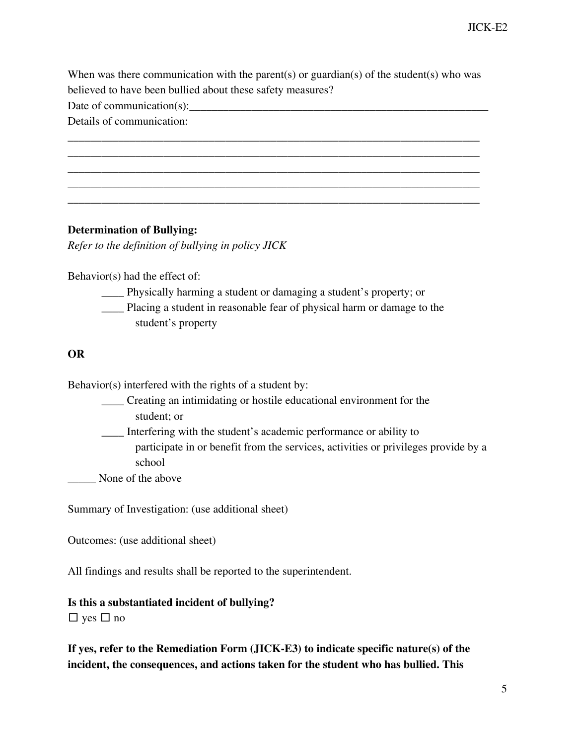When was there communication with the parent(s) or guardian(s) of the student(s) who was believed to have been bullied about these safety measures?

 $\overline{\phantom{a}}$  , and the contribution of the contribution of the contribution of the contribution of the contribution of the contribution of the contribution of the contribution of the contribution of the contribution of the  $\overline{\phantom{a}}$  , and the contribution of the contribution of the contribution of the contribution of the contribution of the contribution of the contribution of the contribution of the contribution of the contribution of the  $\overline{\phantom{a}}$  , and the contribution of the contribution of the contribution of the contribution of the contribution of the contribution of the contribution of the contribution of the contribution of the contribution of the  $\overline{\phantom{a}}$  , and the contribution of the contribution of the contribution of the contribution of the contribution of the contribution of the contribution of the contribution of the contribution of the contribution of the  $\overline{\phantom{a}}$  , and the contribution of the contribution of the contribution of the contribution of the contribution of the contribution of the contribution of the contribution of the contribution of the contribution of the

Date of communication(s):\_\_\_\_\_\_\_\_\_\_\_\_\_\_\_\_\_\_\_\_\_\_\_\_\_\_\_\_\_\_\_\_\_\_\_\_\_\_\_\_\_\_\_\_\_\_\_\_\_\_\_\_\_

Details of communication:

### **Determination of Bullying:**

*Refer to the definition of bullying in policy JICK*

Behavior(s) had the effect of:

- \_\_\_\_ Physically harming a student or damaging a student's property; or
- \_\_\_\_ Placing a student in reasonable fear of physical harm or damage to the student's property

### **OR**

Behavior(s) interfered with the rights of a student by:

\_\_\_\_ Creating an intimidating or hostile educational environment for the

student; or

\_\_\_\_ Interfering with the student's academic performance or ability to

participate in or benefit from the services, activities or privileges provide by a school

None of the above

Summary of Investigation: (use additional sheet)

Outcomes: (use additional sheet)

All findings and results shall be reported to the superintendent.

### **Is this a substantiated incident of bullying?**

 $\Box$  yes  $\Box$  no

**If yes, refer to the Remediation Form (JICK-E3) to indicate specific nature(s) of the incident, the consequences, and actions taken for the student who has bullied. This**